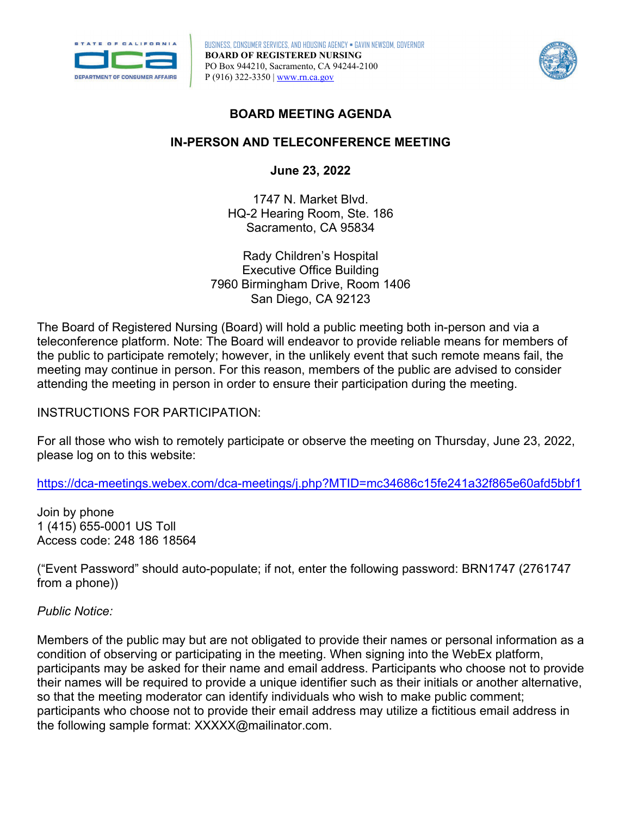

BUSINESS, CONSUMER SERVICES, AND HOUSING AGENCY • GAVIN NEWSOM, GOVERNOR **BOARD OF REGISTERED NURSING**  PO Box 944210, Sacramento, CA 94244-2100 P (916) 322-3350 | [www.rn.ca.gov](http://www.rn.ca.gov/) 



# **BOARD MEETING AGENDA**

# **IN-PERSON AND TELECONFERENCE MEETING**

**June 23, 2022** 

1747 N. Market Blvd. HQ-2 Hearing Room, Ste. 186 Sacramento, CA 95834

Rady Children's Hospital Executive Office Building 7960 Birmingham Drive, Room 1406 San Diego, CA 92123

The Board of Registered Nursing (Board) will hold a public meeting both in-person and via a teleconference platform. Note: The Board will endeavor to provide reliable means for members of the public to participate remotely; however, in the unlikely event that such remote means fail, the meeting may continue in person. For this reason, members of the public are advised to consider attending the meeting in person in order to ensure their participation during the meeting.

INSTRUCTIONS FOR PARTICIPATION:

 For all those who wish to remotely participate or observe the meeting on Thursday, June 23, 2022, please log on to this website:

<https://dca-meetings.webex.com/dca-meetings/j.php?MTID=mc34686c15fe241a32f865e60afd5bbf1>

1 (415) 655-0001 US Toll Join by phone Access code: 248 186 18564

("Event Password" should auto-populate; if not, enter the following password: BRN1747 (2761747 from a phone))

## *Public Notice:*

 their names will be required to provide a unique identifier such as their initials or another alternative, Members of the public may but are not obligated to provide their names or personal information as a condition of observing or participating in the meeting. When signing into the WebEx platform, participants may be asked for their name and email address. Participants who choose not to provide so that the meeting moderator can identify individuals who wish to make public comment; participants who choose not to provide their email address may utilize a fictitious email address in the following sample format: [XXXXX@mailinator.com](mailto:XXXXX@mailinator.com).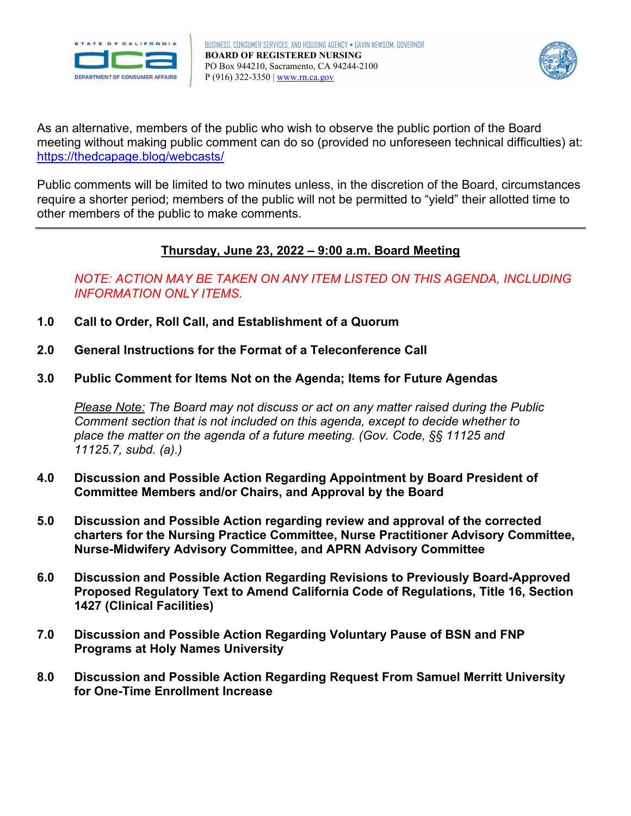



As an alternative, members of the public who wish to observe the public portion of the Board meeting without making public comment can do so (provided no unforeseen technical difficulties) at: <https://thedcapage.blog/webcasts/>

Public comments will be limited to two minutes unless, in the discretion of the Board, circumstances require a shorter period; members of the public will not be permitted to "yield" their allotted time to other members of the public to make comments.

# **Thursday, June 23, 2022 – 9:00 a.m. Board Meeting**

*NOTE: ACTION MAY BE TAKEN ON ANY ITEM LISTED ON THIS AGENDA, INCLUDING INFORMATION ONLY ITEMS.* 

- **1.0 Call to Order, Roll Call, and Establishment of a Quorum**
- **2.0 General Instructions for the Format of a Teleconference Call**
- **3.0 Public Comment for Items Not on the Agenda; Items for Future Agendas**

*Please Note: The Board may not discuss or act on any matter raised during the Public Comment section that is not included on this agenda, except to decide whether to place the matter on the agenda of a future meeting. (Gov. Code, §§ 11125 and 11125.7, subd. (a).)* 

- **4.0 Discussion and Possible Action Regarding Appointment by Board President of Committee Members and/or Chairs, and Approval by the Board**
- **5.0 Discussion and Possible Action regarding review and approval of the corrected charters for the Nursing Practice Committee, Nurse Practitioner Advisory Committee, Nurse-Midwifery Advisory Committee, and APRN Advisory Committee**
- **6.0 Discussion and Possible Action Regarding Revisions to Previously Board-Approved Proposed Regulatory Text to Amend California Code of Regulations, Title 16, Section 1427 (Clinical Facilities)**
- **7.0 Discussion and Possible Action Regarding Voluntary Pause of BSN and FNP Programs at Holy Names University**
- **8.0 Discussion and Possible Action Regarding Request From Samuel Merritt University for One-Time Enrollment Increase**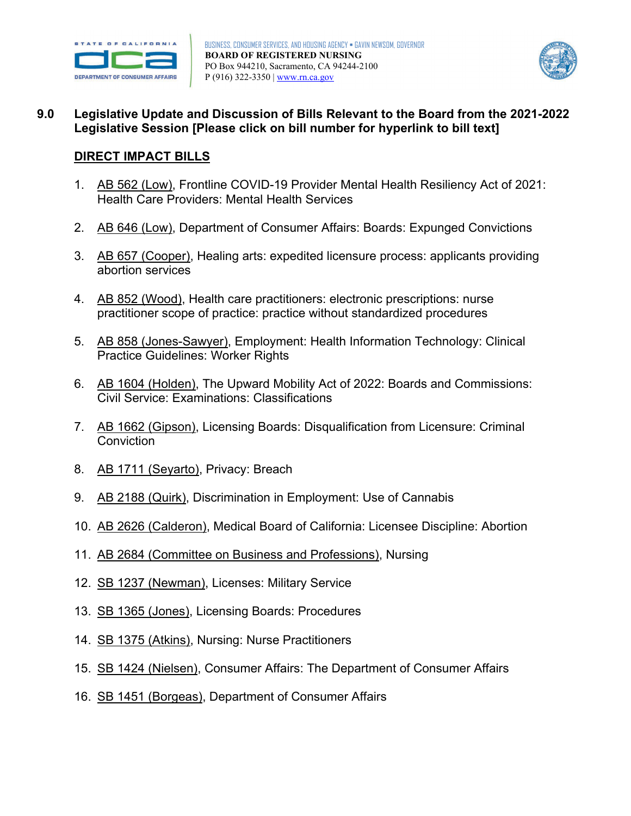



# **9.0 Legislative Update and Discussion of Bills Relevant to the Board from the 2021-2022 Legislative Session [Please click on bill number for hyperlink to bill text]**

## **DIRECT IMPACT BILLS**

- 1. [AB 562 \(Low\),](https://leginfo.legislature.ca.gov/faces/billNavClient.xhtml?bill_id=202120220AB562) Frontline COVID-19 Provider Mental Health Resiliency Act of 2021: Health Care Providers: Mental Health Services
- 2. [AB 646 \(Low\),](https://leginfo.legislature.ca.gov/faces/billNavClient.xhtml?bill_id=202120220AB646) Department of Consumer Affairs: Boards: Expunged Convictions
- 3. [AB 657 \(Cooper\),](https://leginfo.legislature.ca.gov/faces/billNavClient.xhtml?bill_id=202120220AB657) Healing arts: expedited licensure process: applicants providing abortion services
- 4. [AB 852 \(Wood\),](https://leginfo.legislature.ca.gov/faces/billNavClient.xhtml?bill_id=202120220AB852) Health care practitioners: electronic prescriptions: nurse practitioner scope of practice: practice without standardized procedures
- 5. [AB 858 \(Jones-Sawyer\),](https://leginfo.legislature.ca.gov/faces/billNavClient.xhtml?bill_id=202120220AB858) Employment: Health Information Technology: Clinical Practice Guidelines: Worker Rights
- 6. [AB 1604 \(Holden\),](https://leginfo.legislature.ca.gov/faces/billNavClient.xhtml?bill_id=202120220AB1604) The Upward Mobility Act of 2022: Boards and Commissions: Civil Service: Examinations: Classifications
- 7. [AB 1662 \(Gipson\),](https://leginfo.legislature.ca.gov/faces/billNavClient.xhtml?bill_id=202120220AB1662) Licensing Boards: Disqualification from Licensure: Criminal **Conviction**
- 8. [AB 1711 \(Seyarto\),](https://leginfo.legislature.ca.gov/faces/billNavClient.xhtml?bill_id=202120220AB1711) Privacy: Breach
- 9. [AB 2188 \(Quirk\),](https://leginfo.legislature.ca.gov/faces/billNavClient.xhtml?bill_id=202120220AB2188) Discrimination in Employment: Use of Cannabis
- 10. [AB 2626 \(Calderon\),](https://leginfo.legislature.ca.gov/faces/billNavClient.xhtml?bill_id=202120220AB2626) Medical Board of California: Licensee Discipline: Abortion
- 11. [AB 2684 \(Committee on Business and Professions\),](https://leginfo.legislature.ca.gov/faces/billNavClient.xhtml?bill_id=202120220AB2684) Nursing
- 12. [SB 1237 \(Newman\),](https://leginfo.legislature.ca.gov/faces/billNavClient.xhtml?bill_id=202120220SB1237) Licenses: Military Service
- 13. [SB 1365 \(Jones\),](https://leginfo.legislature.ca.gov/faces/billNavClient.xhtml?bill_id=202120220SB1365) Licensing Boards: Procedures
- 14. [SB 1375 \(Atkins\),](https://leginfo.legislature.ca.gov/faces/billNavClient.xhtml?bill_id=202120220SB1375) Nursing: Nurse Practitioners
- 15. [SB 1424 \(Nielsen\),](https://leginfo.legislature.ca.gov/faces/billNavClient.xhtml?bill_id=202120220SB1424) Consumer Affairs: The Department of Consumer Affairs
- 16. [SB 1451 \(Borgeas\),](https://leginfo.legislature.ca.gov/faces/billNavClient.xhtml?bill_id=202120220SB1451) Department of Consumer Affairs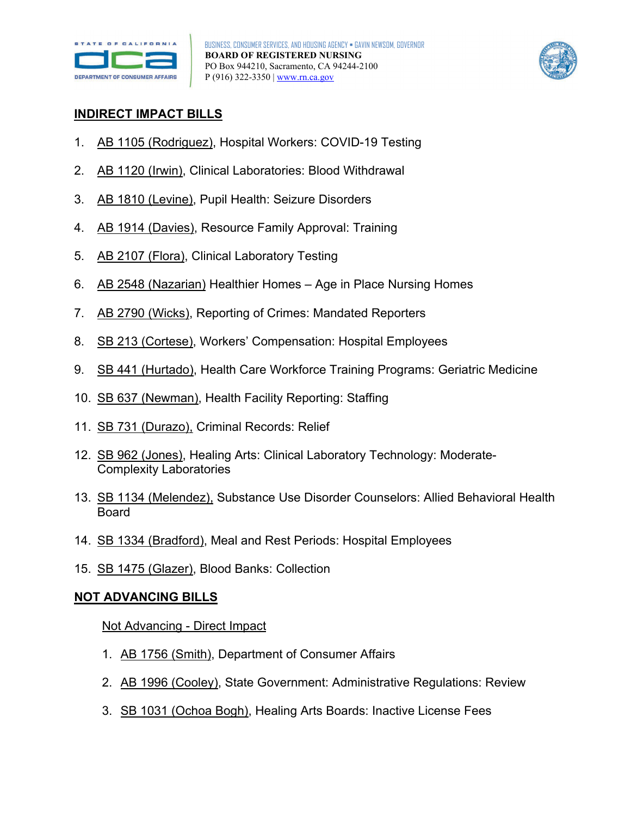



## **INDIRECT IMPACT BILLS**

- 1. [AB 1105 \(Rodriguez\),](https://leginfo.legislature.ca.gov/faces/billNavClient.xhtml?bill_id=202120220AB1105&firstNav=tracking) Hospital Workers: COVID-19 Testing
- 2. [AB 1120 \(Irwin\),](https://leginfo.legislature.ca.gov/faces/billNavClient.xhtml?bill_id=202120220AB1120) Clinical Laboratories: Blood Withdrawal
- 3. [AB 1810 \(Levine\),](https://leginfo.legislature.ca.gov/faces/billNavClient.xhtml?bill_id=202120220AB1810) Pupil Health: Seizure Disorders
- 4. [AB 1914 \(Davies\),](https://leginfo.legislature.ca.gov/faces/billNavClient.xhtml?bill_id=202120220AB1914) Resource Family Approval: Training
- 5. [AB 2107 \(Flora\),](https://leginfo.legislature.ca.gov/faces/billNavClient.xhtml?bill_id=202120220AB2107) Clinical Laboratory Testing
- 6. [AB 2548 \(Nazarian\)](https://leginfo.legislature.ca.gov/faces/billNavClient.xhtml?bill_id=202120220AB2548) Healthier Homes Age in Place Nursing Homes
- 7. [AB 2790 \(Wicks\),](https://leginfo.legislature.ca.gov/faces/billNavClient.xhtml?bill_id=202120220AB2790) Reporting of Crimes: Mandated Reporters
- 8. [SB 213 \(Cortese\),](https://leginfo.legislature.ca.gov/faces/billNavClient.xhtml?bill_id=202120220SB213&firstNav=tracking) Workers' Compensation: Hospital Employees
- 9. [SB 441 \(Hurtado\),](https://leginfo.legislature.ca.gov/faces/billNavClient.xhtml?bill_id=202120220SB441) Health Care Workforce Training Programs: Geriatric Medicine
- 10. [SB 637 \(Newman\),](https://leginfo.legislature.ca.gov/faces/billNavClient.xhtml?bill_id=202120220SB637&firstNav=tracking) Health Facility Reporting: Staffing
- 11. [SB 731 \(Durazo\),](https://leginfo.legislature.ca.gov/faces/billNavClient.xhtml?bill_id=202120220SB731) Criminal Records: Relief
- 12. [SB 962 \(Jones\),](https://leginfo.legislature.ca.gov/faces/billNavClient.xhtml?bill_id=202120220SB962) Healing Arts: Clinical Laboratory Technology: Moderate-Complexity Laboratories
- 13. [SB 1134 \(Melendez\),](https://leginfo.legislature.ca.gov/faces/billNavClient.xhtml?bill_id=202120220SB1134) Substance Use Disorder Counselors: Allied Behavioral Health Board
- 14. [SB 1334 \(Bradford\),](https://leginfo.legislature.ca.gov/faces/billNavClient.xhtml?bill_id=202120220SB1334) Meal and Rest Periods: Hospital Employees
- 15. [SB 1475 \(Glazer\),](https://leginfo.legislature.ca.gov/faces/billNavClient.xhtml?bill_id=202120220SB1475) Blood Banks: Collection

## **NOT ADVANCING BILLS**

#### Not Advancing - Direct Impact

- 1. [AB 1756 \(Smith\),](https://leginfo.legislature.ca.gov/faces/billNavClient.xhtml?bill_id=202120220AB1756) Department of Consumer Affairs
- 2. [AB 1996 \(Cooley\),](https://leginfo.legislature.ca.gov/faces/billNavClient.xhtml?bill_id=202120220AB1996) State Government: Administrative Regulations: Review
- 3. [SB 1031 \(Ochoa Bogh\),](https://leginfo.legislature.ca.gov/faces/billNavClient.xhtml?bill_id=202120220SB1031) Healing Arts Boards: Inactive License Fees